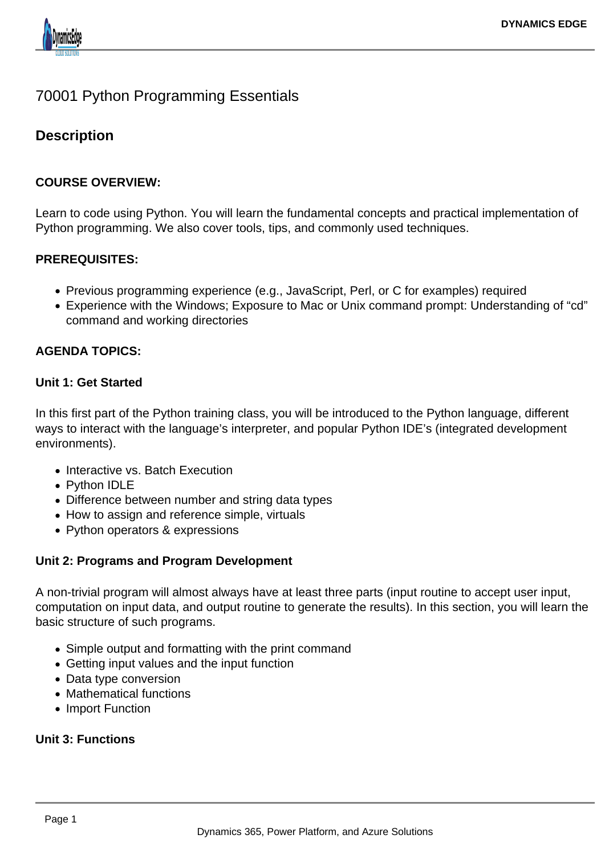

# 70001 Python Programming Essentials

# **Description**

## **COURSE OVERVIEW:**

Learn to code using Python. You will learn the fundamental concepts and practical implementation of Python programming. We also cover tools, tips, and commonly used techniques.

## **PREREQUISITES:**

- Previous programming experience (e.g., JavaScript, Perl, or C for examples) required
- Experience with the Windows; Exposure to Mac or Unix command prompt: Understanding of "cd" command and working directories

## **AGENDA TOPICS:**

#### **Unit 1: Get Started**

In this first part of the Python training class, you will be introduced to the Python language, different ways to interact with the language's interpreter, and popular Python IDE's (integrated development environments).

- Interactive vs. Batch Execution
- Python IDLE
- Difference between number and string data types
- How to assign and reference simple, virtuals
- Python operators & expressions

#### **Unit 2: Programs and Program Development**

A non-trivial program will almost always have at least three parts (input routine to accept user input, computation on input data, and output routine to generate the results). In this section, you will learn the basic structure of such programs.

- Simple output and formatting with the print command
- Getting input values and the input function
- Data type conversion
- Mathematical functions
- Import Function

#### **Unit 3: Functions**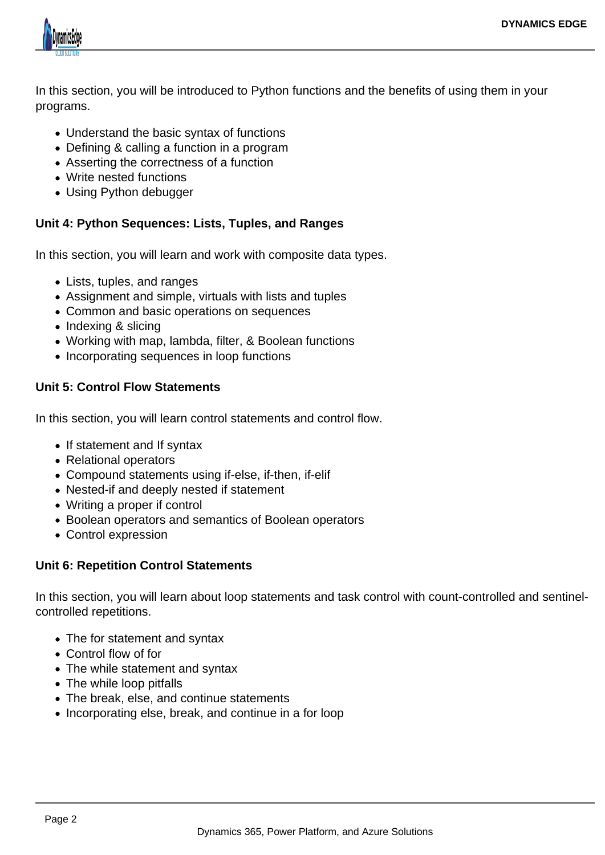

In this section, you will be introduced to Python functions and the benefits of using them in your programs.

- Understand the basic syntax of functions
- Defining & calling a function in a program
- Asserting the correctness of a function
- Write nested functions
- Using Python debugger

# **Unit 4: Python Sequences: Lists, Tuples, and Ranges**

In this section, you will learn and work with composite data types.

- Lists, tuples, and ranges
- Assignment and simple, virtuals with lists and tuples
- Common and basic operations on sequences
- Indexing & slicing
- Working with map, lambda, filter, & Boolean functions
- Incorporating sequences in loop functions

## **Unit 5: Control Flow Statements**

In this section, you will learn control statements and control flow.

- If statement and If syntax
- Relational operators
- Compound statements using if-else, if-then, if-elif
- Nested-if and deeply nested if statement
- Writing a proper if control
- Boolean operators and semantics of Boolean operators
- Control expression

# **Unit 6: Repetition Control Statements**

In this section, you will learn about loop statements and task control with count-controlled and sentinelcontrolled repetitions.

- The for statement and syntax
- Control flow of for
- The while statement and syntax
- The while loop pitfalls
- The break, else, and continue statements
- Incorporating else, break, and continue in a for loop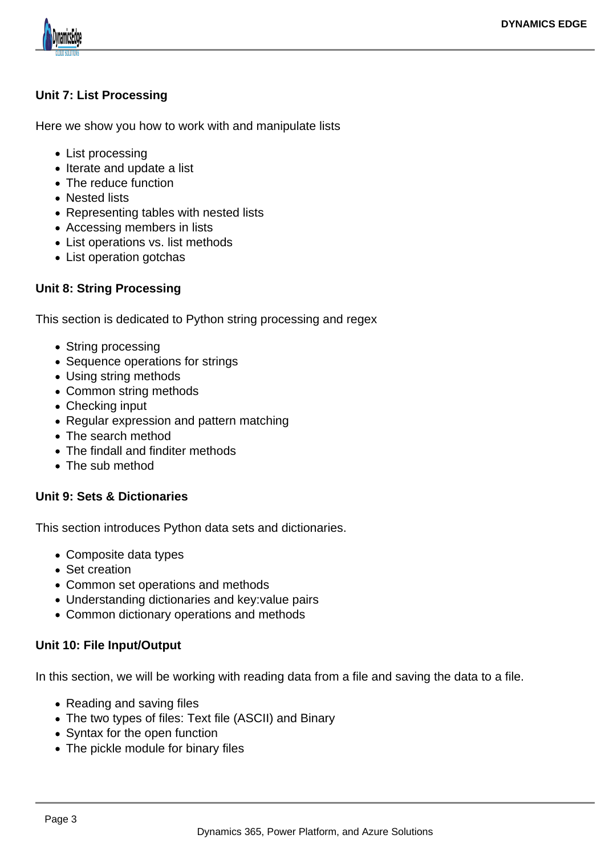

# **Unit 7: List Processing**

Here we show you how to work with and manipulate lists

- List processing
- Iterate and update a list
- The reduce function
- Nested lists
- Representing tables with nested lists
- Accessing members in lists
- List operations vs. list methods
- List operation gotchas

# **Unit 8: String Processing**

This section is dedicated to Python string processing and regex

- String processing
- Sequence operations for strings
- Using string methods
- Common string methods
- Checking input
- Regular expression and pattern matching
- The search method
- The findall and finditer methods
- The sub method

#### **Unit 9: Sets & Dictionaries**

This section introduces Python data sets and dictionaries.

- Composite data types
- Set creation
- Common set operations and methods
- Understanding dictionaries and key:value pairs
- Common dictionary operations and methods

# **Unit 10: File Input/Output**

In this section, we will be working with reading data from a file and saving the data to a file.

- Reading and saving files
- The two types of files: Text file (ASCII) and Binary
- Syntax for the open function
- The pickle module for binary files